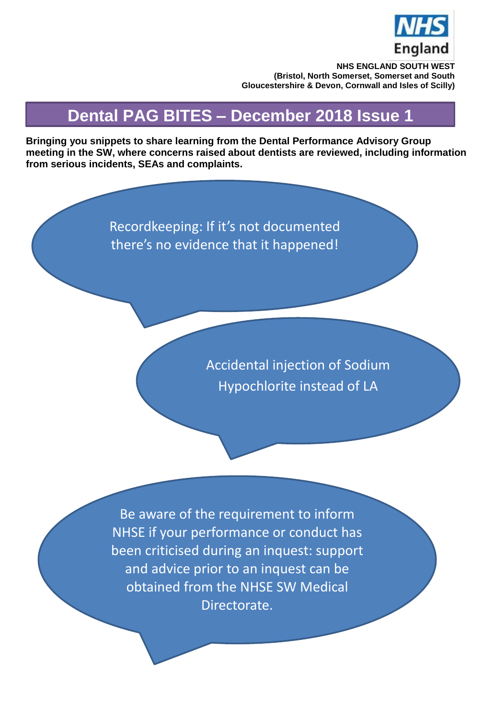

**NHS ENGLAND SOUTH WEST (Bristol, North Somerset, Somerset and South Gloucestershire & Devon, Cornwall and Isles of Scilly)**

## **Dental PAG BITES – December 2018 Issue 1**

**Bringing you snippets to share learning from the Dental Performance Advisory Group meeting in the SW, where concerns raised about dentists are reviewed, including information from serious incidents, SEAs and complaints.**

> Recordkeeping: If it's not documented there's no evidence that it happened!

> > Accidental injection of Sodium Hypochlorite instead of LA

Be aware of the requirement to inform NHSE if your performance or conduct has been criticised during an inquest: support and advice prior to an inquest can be obtained from the NHSE SW Medical Directorate.